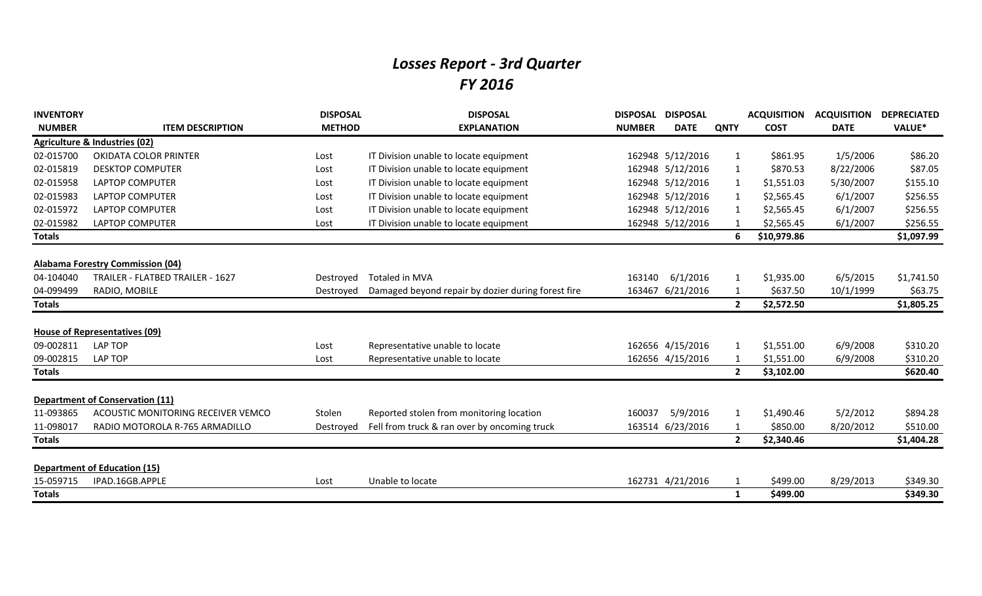## *Losses Report - 3rd Quarter FY 2016*

| <b>INVENTORY</b> |                                          | <b>DISPOSAL</b> | <b>DISPOSAL</b>                                    | <b>DISPOSAL</b> | <b>DISPOSAL</b>  |                | <b>ACQUISITION</b> | <b>ACQUISITION</b> | <b>DEPRECIATED</b> |
|------------------|------------------------------------------|-----------------|----------------------------------------------------|-----------------|------------------|----------------|--------------------|--------------------|--------------------|
| <b>NUMBER</b>    | <b>ITEM DESCRIPTION</b>                  | <b>METHOD</b>   | <b>EXPLANATION</b>                                 | <b>NUMBER</b>   | <b>DATE</b>      | <b>QNTY</b>    | <b>COST</b>        | <b>DATE</b>        | VALUE*             |
|                  | <b>Agriculture &amp; Industries (02)</b> |                 |                                                    |                 |                  |                |                    |                    |                    |
| 02-015700        | OKIDATA COLOR PRINTER                    | Lost            | IT Division unable to locate equipment             |                 | 162948 5/12/2016 | $\mathbf{1}$   | \$861.95           | 1/5/2006           | \$86.20            |
| 02-015819        | <b>DESKTOP COMPUTER</b>                  | Lost            | IT Division unable to locate equipment             |                 | 162948 5/12/2016 | $\mathbf{1}$   | \$870.53           | 8/22/2006          | \$87.05            |
| 02-015958        | <b>LAPTOP COMPUTER</b>                   | Lost            | IT Division unable to locate equipment             |                 | 162948 5/12/2016 | $\mathbf{1}$   | \$1,551.03         | 5/30/2007          | \$155.10           |
| 02-015983        | <b>LAPTOP COMPUTER</b>                   | Lost            | IT Division unable to locate equipment             |                 | 162948 5/12/2016 | 1              | \$2,565.45         | 6/1/2007           | \$256.55           |
| 02-015972        | <b>LAPTOP COMPUTER</b>                   | Lost            | IT Division unable to locate equipment             |                 | 162948 5/12/2016 | 1              | \$2,565.45         | 6/1/2007           | \$256.55           |
| 02-015982        | <b>LAPTOP COMPUTER</b>                   | Lost            | IT Division unable to locate equipment             |                 | 162948 5/12/2016 |                | \$2,565.45         | 6/1/2007           | \$256.55           |
| <b>Totals</b>    |                                          |                 |                                                    |                 |                  | 6              | \$10,979.86        |                    | \$1,097.99         |
|                  |                                          |                 |                                                    |                 |                  |                |                    |                    |                    |
|                  | <b>Alabama Forestry Commission (04)</b>  |                 |                                                    |                 |                  |                |                    |                    |                    |
| 04-104040        | TRAILER - FLATBED TRAILER - 1627         | Destroyed       | Totaled in MVA                                     | 163140          | 6/1/2016         | 1              | \$1,935.00         | 6/5/2015           | \$1,741.50         |
| 04-099499        | RADIO, MOBILE                            | Destroved       | Damaged beyond repair by dozier during forest fire | 163467          | 6/21/2016        | 1              | \$637.50           | 10/1/1999          | \$63.75            |
| <b>Totals</b>    |                                          |                 |                                                    |                 |                  | $\mathbf{2}$   | \$2,572.50         |                    | \$1,805.25         |
|                  |                                          |                 |                                                    |                 |                  |                |                    |                    |                    |
|                  | <b>House of Representatives (09)</b>     |                 |                                                    |                 |                  |                |                    |                    |                    |
| 09-002811        | LAP TOP                                  | Lost            | Representative unable to locate                    |                 | 162656 4/15/2016 | 1              | \$1,551.00         | 6/9/2008           | \$310.20           |
| 09-002815        | LAP TOP                                  | Lost            | Representative unable to locate                    |                 | 162656 4/15/2016 |                | \$1,551.00         | 6/9/2008           | \$310.20           |
| <b>Totals</b>    |                                          |                 |                                                    |                 |                  | $\mathbf{2}$   | \$3,102.00         |                    | \$620.40           |
|                  |                                          |                 |                                                    |                 |                  |                |                    |                    |                    |
|                  | <b>Department of Conservation (11)</b>   |                 |                                                    |                 |                  |                |                    |                    |                    |
| 11-093865        | ACOUSTIC MONITORING RECEIVER VEMCO       | Stolen          | Reported stolen from monitoring location           | 160037          | 5/9/2016         |                | \$1,490.46         | 5/2/2012           | \$894.28           |
| 11-098017        | RADIO MOTOROLA R-765 ARMADILLO           | Destroyed       | Fell from truck & ran over by oncoming truck       |                 | 163514 6/23/2016 |                | \$850.00           | 8/20/2012          | \$510.00           |
| <b>Totals</b>    |                                          |                 |                                                    |                 |                  | $\overline{2}$ | \$2,340.46         |                    | \$1,404.28         |
|                  |                                          |                 |                                                    |                 |                  |                |                    |                    |                    |
|                  | <b>Department of Education (15)</b>      |                 |                                                    |                 |                  |                |                    |                    |                    |
| 15-059715        | IPAD.16GB.APPLE                          | Lost            | Unable to locate                                   |                 | 162731 4/21/2016 | 1              | \$499.00           | 8/29/2013          | \$349.30           |
| <b>Totals</b>    |                                          |                 |                                                    |                 |                  | 1              | \$499.00           |                    | \$349.30           |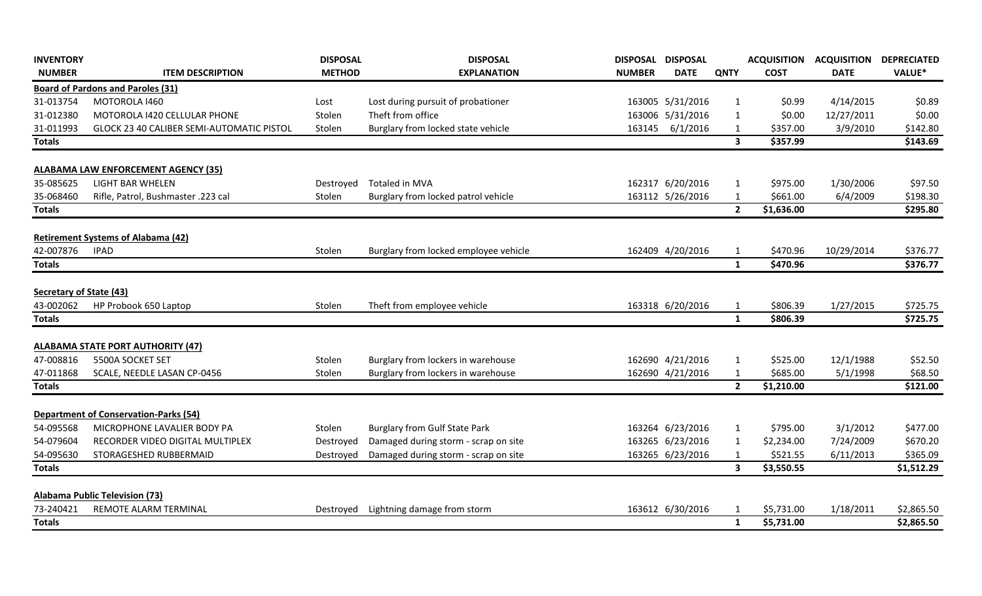| <b>INVENTORY</b>               |                                              | <b>DISPOSAL</b> | <b>DISPOSAL</b>                       | DISPOSAL DISPOSAL |                  |                         | <b>ACQUISITION</b> | <b>ACQUISITION</b> | <b>DEPRECIATED</b> |
|--------------------------------|----------------------------------------------|-----------------|---------------------------------------|-------------------|------------------|-------------------------|--------------------|--------------------|--------------------|
| <b>NUMBER</b>                  | <b>ITEM DESCRIPTION</b>                      | <b>METHOD</b>   | <b>EXPLANATION</b>                    | <b>NUMBER</b>     | <b>DATE</b>      | <b>QNTY</b>             | <b>COST</b>        | <b>DATE</b>        | VALUE*             |
|                                | <b>Board of Pardons and Paroles (31)</b>     |                 |                                       |                   |                  |                         |                    |                    |                    |
| 31-013754                      | MOTOROLA 1460                                | Lost            | Lost during pursuit of probationer    |                   | 163005 5/31/2016 | 1                       | \$0.99             | 4/14/2015          | \$0.89             |
| 31-012380                      | MOTOROLA 1420 CELLULAR PHONE                 | Stolen          | Theft from office                     |                   | 163006 5/31/2016 | $\mathbf{1}$            | \$0.00             | 12/27/2011         | \$0.00             |
| 31-011993                      | GLOCK 23 40 CALIBER SEMI-AUTOMATIC PISTOL    | Stolen          | Burglary from locked state vehicle    | 163145            | 6/1/2016         | $\mathbf 1$             | \$357.00           | 3/9/2010           | \$142.80           |
| <b>Totals</b>                  |                                              |                 |                                       |                   |                  | $\overline{\mathbf{3}}$ | \$357.99           |                    | \$143.69           |
|                                | <b>ALABAMA LAW ENFORCEMENT AGENCY (35)</b>   |                 |                                       |                   |                  |                         |                    |                    |                    |
| 35-085625                      | <b>LIGHT BAR WHELEN</b>                      | Destroyed       | Totaled in MVA                        |                   | 162317 6/20/2016 | $\mathbf{1}$            | \$975.00           | 1/30/2006          | \$97.50            |
| 35-068460                      | Rifle, Patrol, Bushmaster .223 cal           | Stolen          | Burglary from locked patrol vehicle   |                   | 163112 5/26/2016 | -1                      | \$661.00           | 6/4/2009           | \$198.30           |
| <b>Totals</b>                  |                                              |                 |                                       |                   |                  | $\overline{2}$          | \$1,636.00         |                    | \$295.80           |
|                                | <b>Retirement Systems of Alabama (42)</b>    |                 |                                       |                   |                  |                         |                    |                    |                    |
| 42-007876                      | <b>IPAD</b>                                  | Stolen          | Burglary from locked employee vehicle |                   | 162409 4/20/2016 | -1                      | \$470.96           | 10/29/2014         | \$376.77           |
| <b>Totals</b>                  |                                              |                 |                                       |                   |                  | $\mathbf{1}$            | \$470.96           |                    | \$376.77           |
|                                |                                              |                 |                                       |                   |                  |                         |                    |                    |                    |
| <b>Secretary of State (43)</b> |                                              |                 |                                       |                   |                  |                         |                    |                    |                    |
| 43-002062                      | HP Probook 650 Laptop                        | Stolen          | Theft from employee vehicle           |                   | 163318 6/20/2016 | -1                      | \$806.39           | 1/27/2015          | \$725.75           |
| <b>Totals</b>                  |                                              |                 |                                       |                   |                  | $\mathbf{1}$            | \$806.39           |                    | \$725.75           |
|                                | <b>ALABAMA STATE PORT AUTHORITY (47)</b>     |                 |                                       |                   |                  |                         |                    |                    |                    |
| 47-008816                      | 5500A SOCKET SET                             | Stolen          | Burglary from lockers in warehouse    |                   | 162690 4/21/2016 | $\mathbf{1}$            | \$525.00           | 12/1/1988          | \$52.50            |
| 47-011868                      | SCALE, NEEDLE LASAN CP-0456                  | Stolen          | Burglary from lockers in warehouse    |                   | 162690 4/21/2016 | -1                      | \$685.00           | 5/1/1998           | \$68.50            |
| <b>Totals</b>                  |                                              |                 |                                       |                   |                  | $\overline{2}$          | \$1,210.00         |                    | \$121.00           |
|                                | <b>Department of Conservation-Parks (54)</b> |                 |                                       |                   |                  |                         |                    |                    |                    |
| 54-095568                      | MICROPHONE LAVALIER BODY PA                  | Stolen          | <b>Burglary from Gulf State Park</b>  |                   | 163264 6/23/2016 | $\mathbf{1}$            | \$795.00           | 3/1/2012           | \$477.00           |
| 54-079604                      | RECORDER VIDEO DIGITAL MULTIPLEX             | Destroyed       | Damaged during storm - scrap on site  |                   | 163265 6/23/2016 | 1                       | \$2,234.00         | 7/24/2009          | \$670.20           |
| 54-095630                      | STORAGESHED RUBBERMAID                       | Destroyed       | Damaged during storm - scrap on site  |                   | 163265 6/23/2016 |                         | \$521.55           | 6/11/2013          | \$365.09           |
| <b>Totals</b>                  |                                              |                 |                                       |                   |                  | $\overline{\mathbf{3}}$ | \$3,550.55         |                    | \$1,512.29         |
|                                | <b>Alabama Public Television (73)</b>        |                 |                                       |                   |                  |                         |                    |                    |                    |
| 73-240421                      | REMOTE ALARM TERMINAL                        | Destroved       | Lightning damage from storm           |                   | 163612 6/30/2016 |                         | \$5,731.00         | 1/18/2011          | \$2,865.50         |
| <b>Totals</b>                  |                                              |                 |                                       |                   |                  | $\mathbf{1}$            | \$5,731.00         |                    | \$2,865.50         |
|                                |                                              |                 |                                       |                   |                  |                         |                    |                    |                    |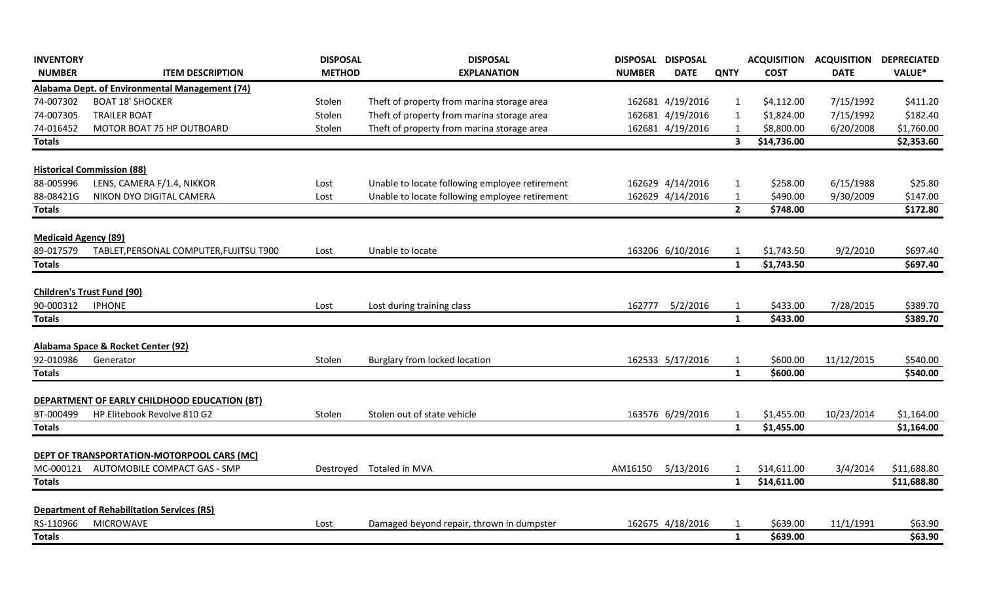| <b>INVENTORY</b>                               |                                                   | <b>DISPOSAL</b> | <b>DISPOSAL</b>                                | DISPOSAL DISPOSAL |                  |                         | <b>ACQUISITION</b> | <b>ACQUISITION</b> | <b>DEPRECIATED</b> |
|------------------------------------------------|---------------------------------------------------|-----------------|------------------------------------------------|-------------------|------------------|-------------------------|--------------------|--------------------|--------------------|
| <b>NUMBER</b>                                  | <b>ITEM DESCRIPTION</b>                           | <b>METHOD</b>   | <b>EXPLANATION</b>                             | <b>NUMBER</b>     | <b>DATE</b>      | <b>QNTY</b>             | <b>COST</b>        | <b>DATE</b>        | VALUE*             |
| Alabama Dept. of Environmental Management (74) |                                                   |                 |                                                |                   |                  |                         |                    |                    |                    |
| 74-007302                                      | <b>BOAT 18' SHOCKER</b>                           | Stolen          | Theft of property from marina storage area     |                   | 162681 4/19/2016 | -1                      | \$4,112.00         | 7/15/1992          | \$411.20           |
| 74-007305                                      | <b>TRAILER BOAT</b>                               | Stolen          | Theft of property from marina storage area     |                   | 162681 4/19/2016 | $\mathbf{1}$            | \$1,824.00         | 7/15/1992          | \$182.40           |
| 74-016452                                      | MOTOR BOAT 75 HP OUTBOARD                         | Stolen          | Theft of property from marina storage area     |                   | 162681 4/19/2016 | $\mathbf 1$             | \$8,800.00         | 6/20/2008          | \$1,760.00         |
| <b>Totals</b>                                  |                                                   |                 |                                                |                   |                  | $\overline{\mathbf{3}}$ | \$14,736.00        |                    | \$2,353.60         |
|                                                | <b>Historical Commission (88)</b>                 |                 |                                                |                   |                  |                         |                    |                    |                    |
| 88-005996                                      | LENS, CAMERA F/1.4, NIKKOR                        | Lost            | Unable to locate following employee retirement |                   | 162629 4/14/2016 | $\mathbf{1}$            | \$258.00           | 6/15/1988          | \$25.80            |
| 88-08421G                                      | NIKON DYO DIGITAL CAMERA                          | Lost            | Unable to locate following employee retirement |                   | 162629 4/14/2016 | $\mathbf{1}$            | \$490.00           | 9/30/2009          | \$147.00           |
| <b>Totals</b>                                  |                                                   |                 |                                                |                   |                  | $\overline{2}$          | \$748.00           |                    | \$172.80           |
| <b>Medicaid Agency (89)</b>                    |                                                   |                 |                                                |                   |                  |                         |                    |                    |                    |
| 89-017579                                      | TABLET, PERSONAL COMPUTER, FUJITSU T900           | Lost            | Unable to locate                               |                   | 163206 6/10/2016 | -1                      | \$1,743.50         | 9/2/2010           | \$697.40           |
| <b>Totals</b>                                  |                                                   |                 |                                                |                   |                  | $\mathbf{1}$            | \$1,743.50         |                    | \$697.40           |
|                                                | <b>Children's Trust Fund (90)</b>                 |                 |                                                |                   |                  |                         |                    |                    |                    |
| 90-000312                                      | <b>IPHONE</b>                                     | Lost            | Lost during training class                     | 162777            | 5/2/2016         | $\mathbf{1}$            | \$433.00           | 7/28/2015          | \$389.70           |
| Totals                                         |                                                   |                 |                                                |                   |                  | $\mathbf{1}$            | \$433.00           |                    | \$389.70           |
|                                                | Alabama Space & Rocket Center (92)                |                 |                                                |                   |                  |                         |                    |                    |                    |
| 92-010986                                      | Generator                                         | Stolen          | Burglary from locked location                  |                   | 162533 5/17/2016 | $\mathbf{1}$            | \$600.00           | 11/12/2015         | \$540.00           |
| <b>Totals</b>                                  |                                                   |                 |                                                |                   |                  | $\mathbf{1}$            | \$600.00           |                    | \$540.00           |
|                                                | DEPARTMENT OF EARLY CHILDHOOD EDUCATION (BT)      |                 |                                                |                   |                  |                         |                    |                    |                    |
| BT-000499                                      | HP Elitebook Revolve 810 G2                       | Stolen          | Stolen out of state vehicle                    |                   | 163576 6/29/2016 | $\mathbf{1}$            | \$1,455.00         | 10/23/2014         | \$1,164.00         |
| <b>Totals</b>                                  |                                                   |                 |                                                |                   |                  | $\mathbf{1}$            | \$1,455.00         |                    | \$1,164.00         |
|                                                | DEPT OF TRANSPORTATION-MOTORPOOL CARS (MC)        |                 |                                                |                   |                  |                         |                    |                    |                    |
| MC-000121                                      | AUTOMOBILE COMPACT GAS - SMP                      | Destroyed       | Totaled in MVA                                 | AM16150           | 5/13/2016        | $\mathbf{1}$            | \$14,611.00        | 3/4/2014           | \$11,688.80        |
| <b>Totals</b>                                  |                                                   |                 |                                                |                   |                  | $\overline{\mathbf{1}}$ | \$14,611.00        |                    | \$11,688.80        |
|                                                | <b>Department of Rehabilitation Services (RS)</b> |                 |                                                |                   |                  |                         |                    |                    |                    |
| RS-110966                                      | <b>MICROWAVE</b>                                  | Lost            | Damaged beyond repair, thrown in dumpster      |                   | 162675 4/18/2016 | $\mathbf{1}$            | \$639.00           | 11/1/1991          | \$63.90            |
| <b>Totals</b>                                  |                                                   |                 |                                                |                   |                  | $\mathbf{1}$            | \$639.00           |                    | \$63.90            |